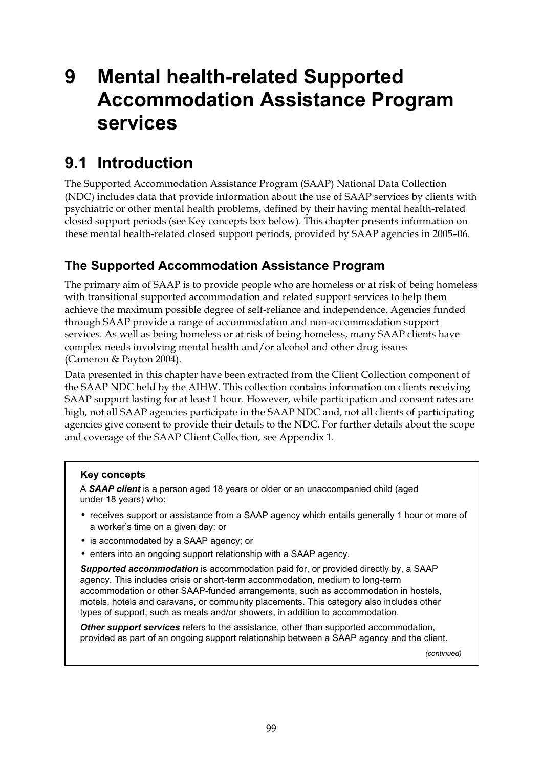# **9 Mental health-related Supported Accommodation Assistance Program services**

### **9.1 Introduction**

The Supported Accommodation Assistance Program (SAAP) National Data Collection (NDC) includes data that provide information about the use of SAAP services by clients with psychiatric or other mental health problems, defined by their having mental health-related closed support periods (see Key concepts box below). This chapter presents information on these mental health-related closed support periods, provided by SAAP agencies in 2005–06.

#### **The Supported Accommodation Assistance Program**

The primary aim of SAAP is to provide people who are homeless or at risk of being homeless with transitional supported accommodation and related support services to help them achieve the maximum possible degree of self-reliance and independence. Agencies funded through SAAP provide a range of accommodation and non-accommodation support services. As well as being homeless or at risk of being homeless, many SAAP clients have complex needs involving mental health and/or alcohol and other drug issues (Cameron & Payton 2004).

Data presented in this chapter have been extracted from the Client Collection component of the SAAP NDC held by the AIHW. This collection contains information on clients receiving SAAP support lasting for at least 1 hour. However, while participation and consent rates are high, not all SAAP agencies participate in the SAAP NDC and, not all clients of participating agencies give consent to provide their details to the NDC. For further details about the scope and coverage of the SAAP Client Collection, see Appendix 1.

#### **Key concepts**

A *SAAP client* is a person aged 18 years or older or an unaccompanied child (aged under 18 years) who:

- receives support or assistance from a SAAP agency which entails generally 1 hour or more of a worker's time on a given day; or
- is accommodated by a SAAP agency; or
- enters into an ongoing support relationship with a SAAP agency.

*Supported accommodation* is accommodation paid for, or provided directly by, a SAAP agency. This includes crisis or short-term accommodation, medium to long-term accommodation or other SAAP-funded arrangements, such as accommodation in hostels, motels, hotels and caravans, or community placements. This category also includes other types of support, such as meals and/or showers, in addition to accommodation.

*Other support services* refers to the assistance, other than supported accommodation, provided as part of an ongoing support relationship between a SAAP agency and the client.

 *(continued)*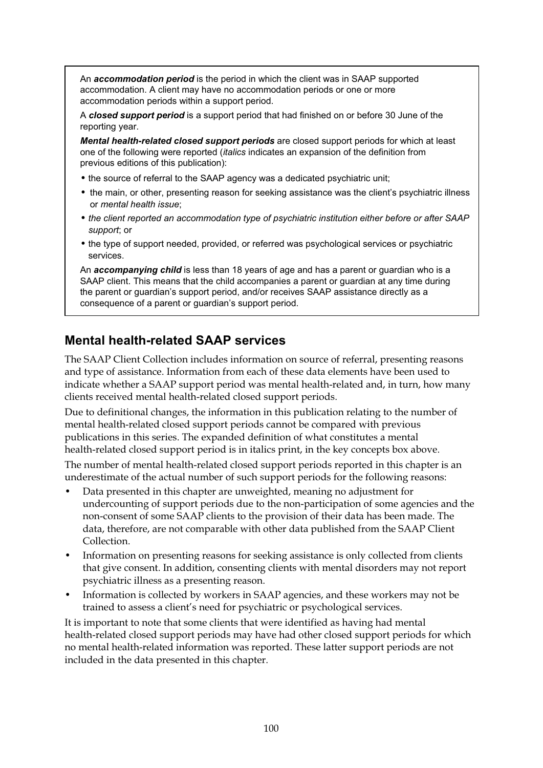An *accommodation period* is the period in which the client was in SAAP supported accommodation. A client may have no accommodation periods or one or more accommodation periods within a support period.

A *closed support period* is a support period that had finished on or before 30 June of the reporting year.

*Mental health-related closed support periods* are closed support periods for which at least one of the following were reported (*italics* indicates an expansion of the definition from previous editions of this publication):

- the source of referral to the SAAP agency was a dedicated psychiatric unit;
- the main, or other, presenting reason for seeking assistance was the client's psychiatric illness or *mental health issue*;
- *the client reported an accommodation type of psychiatric institution either before or after SAAP support*; or
- the type of support needed, provided, or referred was psychological services or psychiatric services.

An *accompanying child* is less than 18 years of age and has a parent or guardian who is a SAAP client. This means that the child accompanies a parent or guardian at any time during the parent or guardian's support period, and/or receives SAAP assistance directly as a consequence of a parent or guardian's support period.

#### **Mental health-related SAAP services**

The SAAP Client Collection includes information on source of referral, presenting reasons and type of assistance. Information from each of these data elements have been used to indicate whether a SAAP support period was mental health-related and, in turn, how many clients received mental health-related closed support periods.

Due to definitional changes, the information in this publication relating to the number of mental health-related closed support periods cannot be compared with previous publications in this series. The expanded definition of what constitutes a mental health-related closed support period is in italics print, in the key concepts box above.

The number of mental health-related closed support periods reported in this chapter is an underestimate of the actual number of such support periods for the following reasons:

- Data presented in this chapter are unweighted, meaning no adjustment for undercounting of support periods due to the non-participation of some agencies and the non-consent of some SAAP clients to the provision of their data has been made. The data, therefore, are not comparable with other data published from the SAAP Client Collection.
- Information on presenting reasons for seeking assistance is only collected from clients that give consent. In addition, consenting clients with mental disorders may not report psychiatric illness as a presenting reason.
- Information is collected by workers in SAAP agencies, and these workers may not be trained to assess a client's need for psychiatric or psychological services.

It is important to note that some clients that were identified as having had mental health-related closed support periods may have had other closed support periods for which no mental health-related information was reported. These latter support periods are not included in the data presented in this chapter.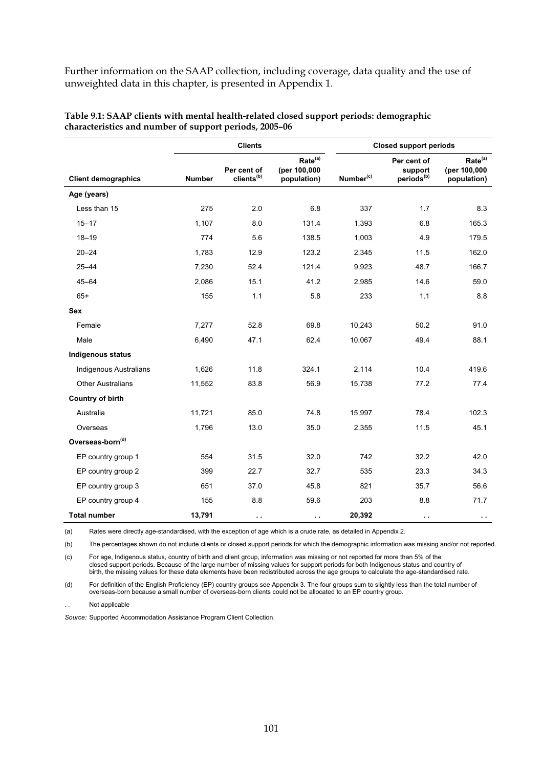Further information on the SAAP collection, including coverage, data quality and the use of unweighted data in this chapter, is presented in Appendix 1.

|                               |               | <b>Clients</b>                        |                                                    | <b>Closed support periods</b> |                                                  |                                                    |  |  |
|-------------------------------|---------------|---------------------------------------|----------------------------------------------------|-------------------------------|--------------------------------------------------|----------------------------------------------------|--|--|
| <b>Client demographics</b>    | <b>Number</b> | Per cent of<br>clients <sup>(b)</sup> | Rate <sup>(a)</sup><br>(per 100,000<br>population) | Number <sup>(c)</sup>         | Per cent of<br>support<br>periods <sup>(b)</sup> | Rate <sup>(a)</sup><br>(per 100,000<br>population) |  |  |
| Age (years)                   |               |                                       |                                                    |                               |                                                  |                                                    |  |  |
| Less than 15                  | 275           | 2.0                                   | 6.8                                                | 337                           | 1.7                                              | 8.3                                                |  |  |
| $15 - 17$                     | 1,107         | 8.0                                   | 131.4                                              | 1,393                         | 6.8                                              | 165.3                                              |  |  |
| $18 - 19$                     | 774           | 5.6                                   | 138.5                                              | 1,003                         | 4.9                                              | 179.5                                              |  |  |
| $20 - 24$                     | 1,783         | 12.9                                  | 123.2                                              | 2,345                         | 11.5                                             | 162.0                                              |  |  |
| $25 - 44$                     | 7,230         | 52.4                                  | 121.4                                              | 9,923                         | 48.7                                             | 166.7                                              |  |  |
| $45 - 64$                     | 2,086         | 15.1                                  | 41.2                                               | 2,985                         | 14.6                                             | 59.0                                               |  |  |
| $65+$                         | 155           | 1.1                                   | 5.8                                                | 233                           | 1.1                                              | 8.8                                                |  |  |
| <b>Sex</b>                    |               |                                       |                                                    |                               |                                                  |                                                    |  |  |
| Female                        | 7,277         | 52.8                                  | 69.8                                               | 10,243                        | 50.2                                             | 91.0                                               |  |  |
| Male                          | 6,490         | 47.1                                  | 62.4                                               | 10,067                        | 49.4                                             | 88.1                                               |  |  |
| <b>Indigenous status</b>      |               |                                       |                                                    |                               |                                                  |                                                    |  |  |
| <b>Indigenous Australians</b> | 1,626         | 11.8                                  | 324.1                                              | 2,114                         | 10.4                                             | 419.6                                              |  |  |
| <b>Other Australians</b>      | 11,552        | 83.8                                  | 56.9                                               | 15,738                        | 77.2                                             | 77.4                                               |  |  |
| <b>Country of birth</b>       |               |                                       |                                                    |                               |                                                  |                                                    |  |  |
| Australia                     | 11,721        | 85.0                                  | 74.8                                               | 15,997                        | 78.4                                             | 102.3                                              |  |  |
| Overseas                      | 1,796         | 13.0                                  | 35.0                                               | 2,355                         | 11.5                                             | 45.1                                               |  |  |
| Overseas-born <sup>(d)</sup>  |               |                                       |                                                    |                               |                                                  |                                                    |  |  |
| EP country group 1            | 554           | 31.5                                  | 32.0                                               | 742                           | 32.2                                             | 42.0                                               |  |  |
| EP country group 2            | 399           | 22.7                                  | 32.7                                               | 535                           | 23.3                                             | 34.3                                               |  |  |
| EP country group 3            | 651           | 37.0                                  | 45.8                                               | 821                           | 35.7                                             | 56.6                                               |  |  |
| EP country group 4            | 155           | 8.8                                   | 59.6                                               | 203                           | 8.8                                              | 71.7                                               |  |  |
| <b>Total number</b>           | 13,791        | $\sim$ $\sim$                         | $\ddot{\phantom{1}}$                               | 20,392                        | $\sim$                                           | $\sim$ $\sim$                                      |  |  |

**Table 9.1: SAAP clients with mental health-related closed support periods: demographic characteristics and number of support periods, 2005–06**

(a) Rates were directly age-standardised, with the exception of age which is a crude rate, as detailed in Appendix 2.

(b) The percentages shown do not include clients or closed support periods for which the demographic information was missing and/or not reported.

(c) For age, Indigenous status, country of birth and client group, information was missing or not reported for more than 5% of the closed support periods. Because of the large number of missing values for support periods for both Indigenous status and country of birth, the missing values for these data elements have been redistributed across the age groups to calculate the age-standardised rate.

(d) For definition of the English Proficiency (EP) country groups see Appendix 3. The four groups sum to slightly less than the total number of overseas-born because a small number of overseas-born clients could not be allocated to an EP country group.

Not applicable

*Source:* Supported Accommodation Assistance Program Client Collection.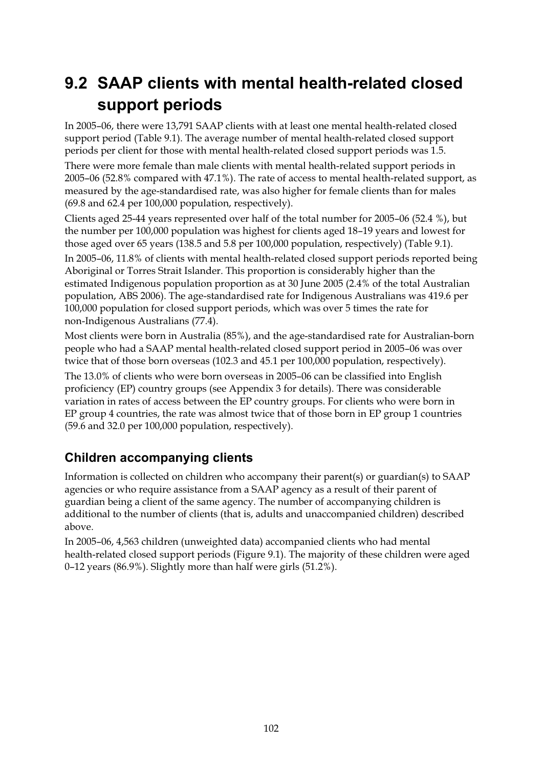## **9.2 SAAP clients with mental health-related closed support periods**

In 2005–06, there were 13,791 SAAP clients with at least one mental health-related closed support period (Table 9.1). The average number of mental health-related closed support periods per client for those with mental health-related closed support periods was 1.5.

There were more female than male clients with mental health-related support periods in 2005–06 (52.8% compared with 47.1%). The rate of access to mental health-related support, as measured by the age-standardised rate, was also higher for female clients than for males (69.8 and 62.4 per 100,000 population, respectively).

Clients aged 25-44 years represented over half of the total number for 2005–06 (52.4 %), but the number per 100,000 population was highest for clients aged 18–19 years and lowest for those aged over 65 years (138.5 and 5.8 per 100,000 population, respectively) (Table 9.1).

In 2005–06, 11.8% of clients with mental health-related closed support periods reported being Aboriginal or Torres Strait Islander. This proportion is considerably higher than the estimated Indigenous population proportion as at 30 June 2005 (2.4% of the total Australian population, ABS 2006). The age-standardised rate for Indigenous Australians was 419.6 per 100,000 population for closed support periods, which was over 5 times the rate for non-Indigenous Australians (77.4).

Most clients were born in Australia (85%), and the age-standardised rate for Australian-born people who had a SAAP mental health-related closed support period in 2005–06 was over twice that of those born overseas (102.3 and 45.1 per 100,000 population, respectively).

The 13.0% of clients who were born overseas in 2005–06 can be classified into English proficiency (EP) country groups (see Appendix 3 for details). There was considerable variation in rates of access between the EP country groups. For clients who were born in EP group 4 countries, the rate was almost twice that of those born in EP group 1 countries (59.6 and 32.0 per 100,000 population, respectively).

#### **Children accompanying clients**

Information is collected on children who accompany their parent(s) or guardian(s) to SAAP agencies or who require assistance from a SAAP agency as a result of their parent of guardian being a client of the same agency. The number of accompanying children is additional to the number of clients (that is, adults and unaccompanied children) described above.

In 2005–06, 4,563 children (unweighted data) accompanied clients who had mental health-related closed support periods (Figure 9.1). The majority of these children were aged 0–12 years (86.9%). Slightly more than half were girls (51.2%).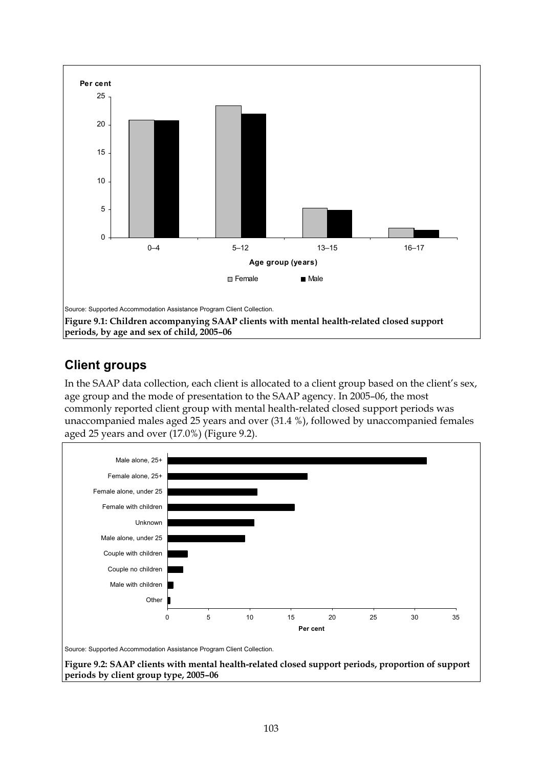

#### **Client groups**

In the SAAP data collection, each client is allocated to a client group based on the client's sex, age group and the mode of presentation to the SAAP agency. In 2005–06, the most commonly reported client group with mental health-related closed support periods was unaccompanied males aged 25 years and over (31.4 %), followed by unaccompanied females aged 25 years and over (17.0%) (Figure 9.2).



**Figure 9.2: SAAP clients with mental health-related closed support periods, proportion of support periods by client group type, 2005–06**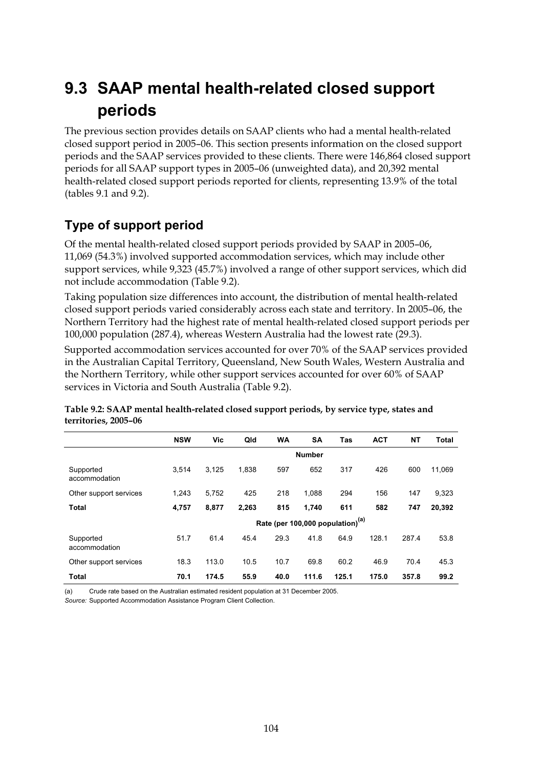## **9.3 SAAP mental health-related closed support periods**

The previous section provides details on SAAP clients who had a mental health-related closed support period in 2005–06. This section presents information on the closed support periods and the SAAP services provided to these clients. There were 146,864 closed support periods for all SAAP support types in 2005–06 (unweighted data), and 20,392 mental health-related closed support periods reported for clients, representing 13.9% of the total (tables 9.1 and 9.2).

### **Type of support period**

Of the mental health-related closed support periods provided by SAAP in 2005–06, 11,069 (54.3%) involved supported accommodation services, which may include other support services, while 9,323 (45.7%) involved a range of other support services, which did not include accommodation (Table 9.2).

Taking population size differences into account, the distribution of mental health-related closed support periods varied considerably across each state and territory. In 2005–06, the Northern Territory had the highest rate of mental health-related closed support periods per 100,000 population (287.4), whereas Western Australia had the lowest rate (29.3).

Supported accommodation services accounted for over 70% of the SAAP services provided in the Australian Capital Territory, Queensland, New South Wales, Western Australia and the Northern Territory, while other support services accounted for over 60% of SAAP services in Victoria and South Australia (Table 9.2).

|                            | <b>NSW</b>                                   | Vic   | Qld   | <b>WA</b> | <b>SA</b> | Tas   | <b>ACT</b> | <b>NT</b> | <b>Total</b> |  |  |
|----------------------------|----------------------------------------------|-------|-------|-----------|-----------|-------|------------|-----------|--------------|--|--|
|                            | <b>Number</b>                                |       |       |           |           |       |            |           |              |  |  |
| Supported<br>accommodation | 3.514                                        | 3.125 | 1,838 | 597       | 652       | 317   | 426        | 600       | 11,069       |  |  |
| Other support services     | 1.243                                        | 5,752 | 425   | 218       | 1,088     | 294   | 156        | 147       | 9,323        |  |  |
| <b>Total</b>               | 4,757                                        | 8,877 | 2,263 | 815       | 1,740     | 611   | 582        | 747       | 20,392       |  |  |
|                            | Rate (per 100,000 population) <sup>(a)</sup> |       |       |           |           |       |            |           |              |  |  |
| Supported<br>accommodation | 51.7                                         | 61.4  | 45.4  | 29.3      | 41.8      | 64.9  | 128.1      | 287.4     | 53.8         |  |  |
| Other support services     | 18.3                                         | 113.0 | 10.5  | 10.7      | 69.8      | 60.2  | 46.9       | 70.4      | 45.3         |  |  |
| <b>Total</b>               | 70.1                                         | 174.5 | 55.9  | 40.0      | 111.6     | 125.1 | 175.0      | 357.8     | 99.2         |  |  |

#### **Table 9.2: SAAP mental health-related closed support periods, by service type, states and territories, 2005–06**

(a) Crude rate based on the Australian estimated resident population at 31 December 2005.

*Source:* Supported Accommodation Assistance Program Client Collection.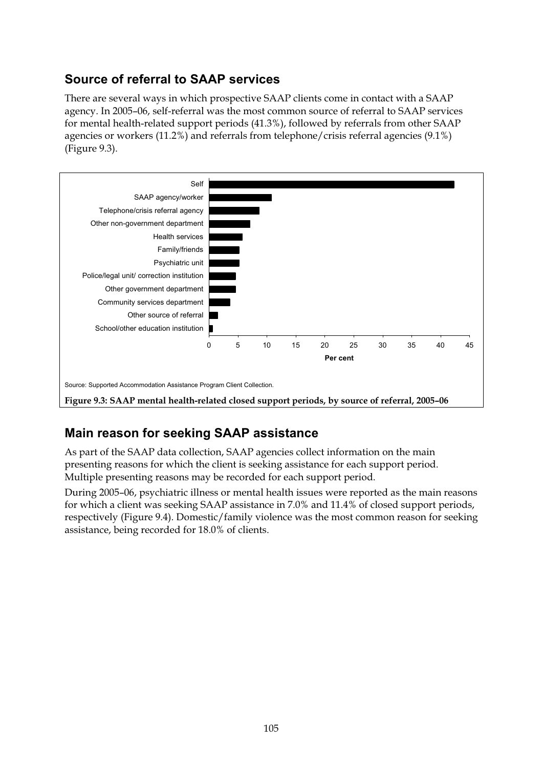#### **Source of referral to SAAP services**

There are several ways in which prospective SAAP clients come in contact with a SAAP agency. In 2005–06, self-referral was the most common source of referral to SAAP services for mental health-related support periods (41.3%), followed by referrals from other SAAP agencies or workers (11.2%) and referrals from telephone/crisis referral agencies (9.1%) (Figure 9.3).



### **Main reason for seeking SAAP assistance**

As part of the SAAP data collection, SAAP agencies collect information on the main presenting reasons for which the client is seeking assistance for each support period. Multiple presenting reasons may be recorded for each support period.

During 2005–06, psychiatric illness or mental health issues were reported as the main reasons for which a client was seeking SAAP assistance in 7.0% and 11.4% of closed support periods, respectively (Figure 9.4). Domestic/family violence was the most common reason for seeking assistance, being recorded for 18.0% of clients.